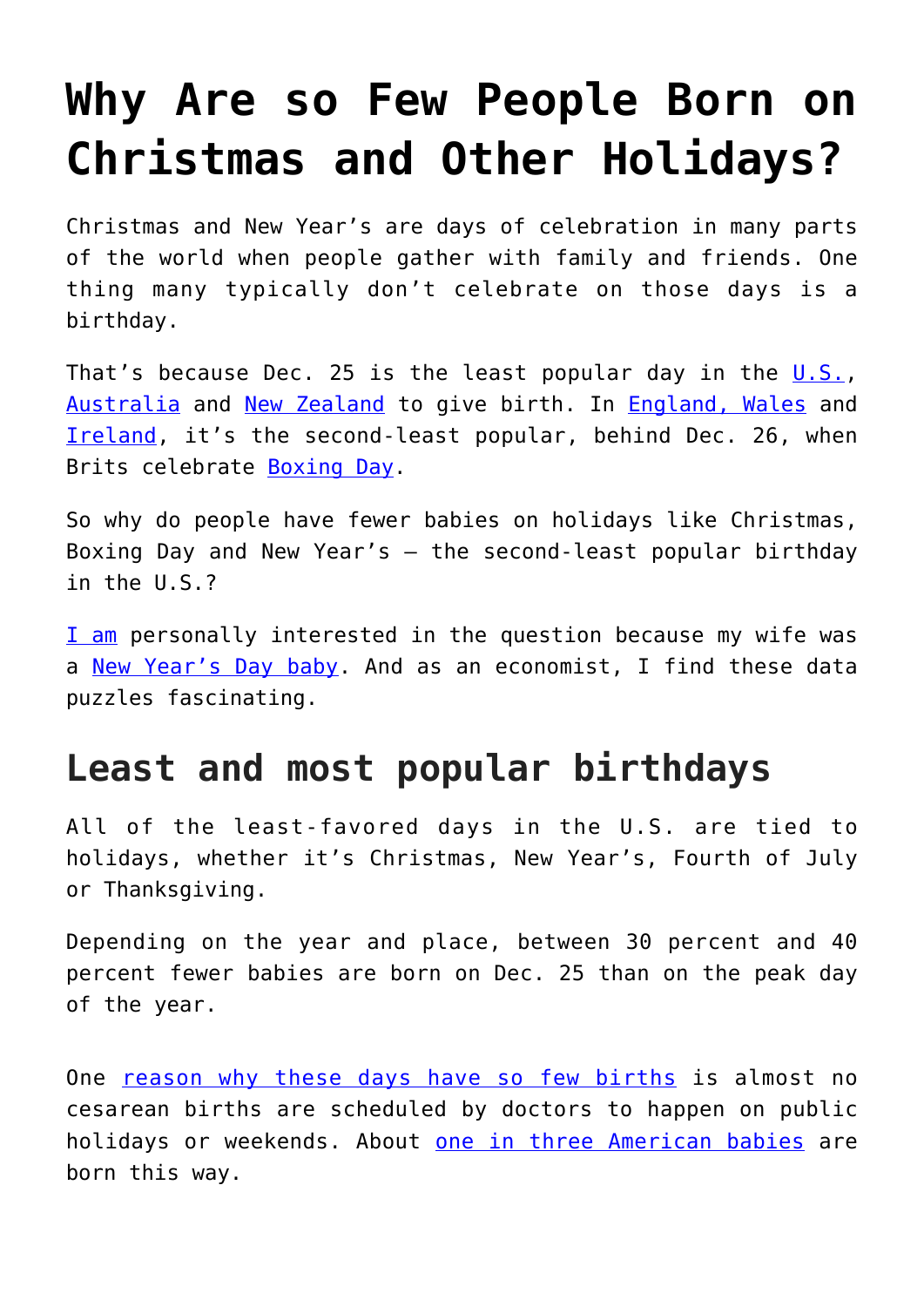## **[Why Are so Few People Born on](https://intellectualtakeout.org/2019/12/why-are-so-few-people-born-on-christmas-and-other-holidays/) [Christmas and Other Holidays?](https://intellectualtakeout.org/2019/12/why-are-so-few-people-born-on-christmas-and-other-holidays/)**

Christmas and New Year's are days of celebration in many parts of the world when people gather with family and friends. One thing many typically don't celebrate on those days is a birthday.

That's because Dec. 25 is the least popular day in the  $\sqrt{0.5}$ , [Australia](https://www.abs.gov.au/ausstats/abs@.nsf/lookup/3301.0Media%20Release12016) and [New Zealand](http://archive.stats.govt.nz/browse_for_stats/population/pop-birthdays-table.aspx) to give birth. In [England, Wales](https://www.ons.gov.uk/peoplepopulationandcommunity/birthsdeathsandmarriages/livebirths/articles/howpopularisyourbirthday/2015-12-18) and [Ireland](https://www.cso.ie/en/interactivezone/visualisationtools/howpopularisyourbirthday/), it's the second-least popular, behind Dec. 26, when Brits celebrate [Boxing Day.](https://www.history.com/news/why-is-the-day-after-christmas-called-boxing-day)

So why do people have fewer babies on holidays like Christmas, Boxing Day and New Year's – the second-least popular birthday in the U.S.?

[I am](http://businessmacroeconomics.com/) personally interested in the question because my wife was a [New Year's Day baby](https://www.unicefusa.org/press/releases/new-year%E2%80%99s-babies-over-11000-babies-will-be-born-us-new-year%E2%80%99s-day-%E2%80%93-unicef/35321). And as an economist, I find these data puzzles fascinating.

## **Least and most popular birthdays**

All of the least-favored days in the U.S. are tied to holidays, whether it's Christmas, New Year's, Fourth of July or Thanksgiving.

Depending on the year and place, between 30 percent and 40 percent fewer babies are born on Dec. 25 than on the peak day of the year.

One [reason why these days have so few births](https://www.ncbi.nlm.nih.gov/books/NBK541384/) is almost no cesarean births are scheduled by doctors to happen on public holidays or weekends. About [one in three American babies](https://www.thebump.com/a/c-section-rate-problems) are born this way.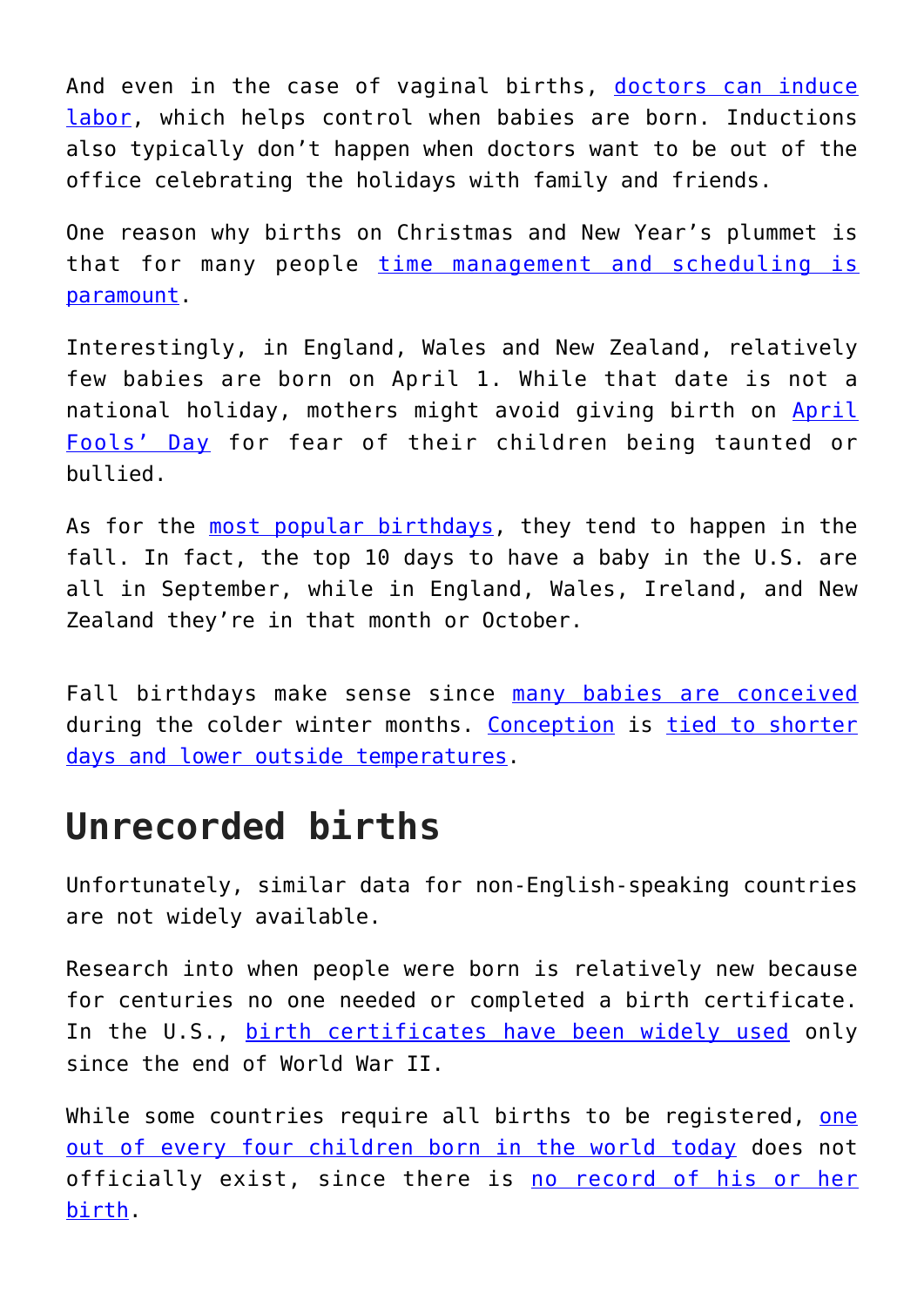And even in the case of vaginal births, [doctors can induce](https://www.nhs.uk/conditions/pregnancy-and-baby/induction-labour/) [labor](https://www.nhs.uk/conditions/pregnancy-and-baby/induction-labour/), which helps control when babies are born. Inductions also typically don't happen when doctors want to be out of the office celebrating the holidays with family and friends.

One reason why births on Christmas and New Year's plummet is that for many people [time management and scheduling is](https://www.fastcompany.com/3046429/the-highest-paying-jobs-of-the-future-will-eat-your-life) [paramount.](https://www.fastcompany.com/3046429/the-highest-paying-jobs-of-the-future-will-eat-your-life)

Interestingly, in England, Wales and New Zealand, relatively few babies are born on April 1. While that date is not a national holiday, mothers might avoid giving birth on [April](https://daily.jstor.org/the-completely-true-history-of-april-fools-day/) [Fools' Day](https://daily.jstor.org/the-completely-true-history-of-april-fools-day/) for fear of their children being taunted or bullied.

As for the [most popular birthdays](https://www.livescience.com/32728-baby-month-is-almost-here-.html), they tend to happen in the fall. In fact, the top 10 days to have a baby in the U.S. are all in September, while in England, Wales, Ireland, and New Zealand they're in that month or October.

Fall birthdays make sense since [many babies are conceived](https://www.theatlantic.com/national/archive/2012/05/christmas-eve-busiest-time-year-get-busy/327997/) during the colder winter months. [Conception](https://www.independent.co.uk/life-style/health-and-families/babies-conceive-christmas-why-most-parents-couples-conception-a8103201.html) is [tied to shorter](https://www.smithsonianmag.com/science-nature/more-babies-are-conceived-during-winter-fall-180971112/) [days and lower outside temperatures.](https://www.smithsonianmag.com/science-nature/more-babies-are-conceived-during-winter-fall-180971112/)

## **Unrecorded births**

Unfortunately, similar data for non-English-speaking countries are not widely available.

Research into when people were born is relatively new because for centuries no one needed or completed a birth certificate. In the U.S., [birth certificates have been widely used](https://www.history.com/news/the-history-of-birth-certificates-is-shorter-than-you-might-think) only since the end of World War II.

While some countries require all births to be registered, [one](https://data.unicef.org/topic/child-protection/birth-registration/) [out of every four children born in the world today](https://data.unicef.org/topic/child-protection/birth-registration/) does not officially exist, since there is [no record of his or her](https://www.independent.co.uk/news/world/politics/220-million-children-who-dont-exist-a-birth-certificate-is-a-passport-to-a-better-life-so-why-cant-8735046.html) [birth](https://www.independent.co.uk/news/world/politics/220-million-children-who-dont-exist-a-birth-certificate-is-a-passport-to-a-better-life-so-why-cant-8735046.html).